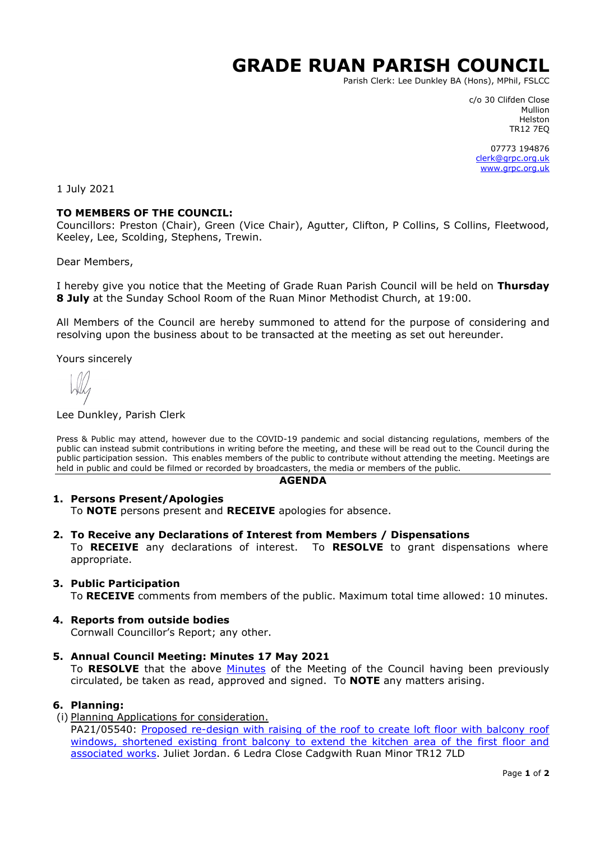# **GRADE RUAN PARISH COUNCIL**

Parish Clerk: Lee Dunkley BA (Hons), MPhil, FSLCC

c/o 30 Clifden Close Mullion Helston TR12 7EQ

07773 194876 [clerk@grpc.org.uk](mailto:clerk@grpc.org.uk) [www.grpc.org.uk](http://www.grpc.org.uk/)

1 July 2021

### **TO MEMBERS OF THE COUNCIL:**

Councillors: Preston (Chair), Green (Vice Chair), Agutter, Clifton, P Collins, S Collins, Fleetwood, Keeley, Lee, Scolding, Stephens, Trewin.

Dear Members,

I hereby give you notice that the Meeting of Grade Ruan Parish Council will be held on **Thursday 8 July** at the Sunday School Room of the Ruan Minor Methodist Church, at 19:00.

All Members of the Council are hereby summoned to attend for the purpose of considering and resolving upon the business about to be transacted at the meeting as set out hereunder.

Yours sincerely

#### Lee Dunkley, Parish Clerk

Press & Public may attend, however due to the COVID-19 pandemic and social distancing regulations, members of the public can instead submit contributions in writing before the meeting, and these will be read out to the Council during the public participation session. This enables members of the public to contribute without attending the meeting. Meetings are held in public and could be filmed or recorded by broadcasters, the media or members of the public.

#### **AGENDA**

### **1. Persons Present/Apologies**

To **NOTE** persons present and **RECEIVE** apologies for absence.

**2. To Receive any Declarations of Interest from Members / Dispensations**

To **RECEIVE** any declarations of interest. To **RESOLVE** to grant dispensations where appropriate.

### **3. Public Participation**

To **RECEIVE** comments from members of the public. Maximum total time allowed: 10 minutes.

#### **4. Reports from outside bodies**

Cornwall Councillor's Report; any other.

**5. Annual Council Meeting: Minutes 17 May 2021**

To **RESOLVE** that the above [Minutes](https://www.grpc.org.uk/files/4916/2150/5414/Minutes_18_May_2021_DRAFT.pdf) of the Meeting of the Council having been previously circulated, be taken as read, approved and signed. To **NOTE** any matters arising.

## **6. Planning:**

(i) Planning Applications for consideration. PA21/05540: Proposed re-design with raising of the roof to create loft floor with balcony roof windows, shortened existing front balcony to extend the kitchen area of the first floor and [associated works.](https://planning.cornwall.gov.uk/online-applications/applicationDetails.do?activeTab=documents&keyVal=QTO4I0FGMBG00&prevPage=inTray) Juliet Jordan. 6 Ledra Close Cadgwith Ruan Minor TR12 7LD